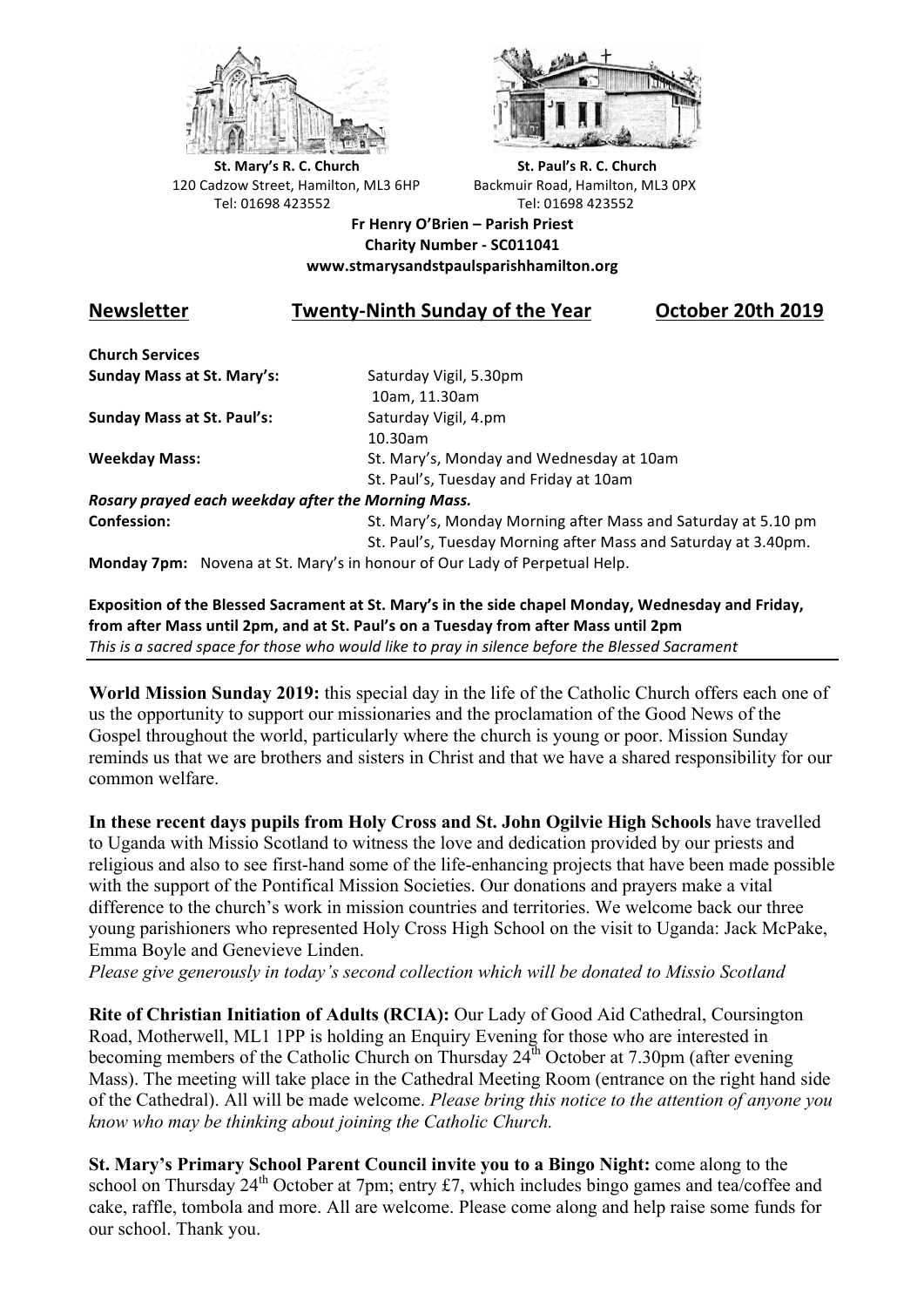



**St.** Mary's R. C. Church St. Paul's R. C. Church 120 Cadzow Street, Hamilton, ML3 6HP Backmuir Road, Hamilton, ML3 0PX Tel: 01698 423552 Tel: 01698 423552

**Fr Henry O'Brien – Parish Priest Charity Number - SC011041 www.stmarysandstpaulsparishhamilton.org**

## **Newsletter Twenty-Ninth Sunday of the Year October 20th 2019**

**Church Services Sunday Mass at St. Mary's:** Saturday Vigil, 5.30pm

**Sunday Mass at St. Paul's:** Saturday Vigil, 4.pm

 10am, 11.30am 10.30am **Weekday Mass:** St. Mary's, Monday and Wednesday at 10am St. Paul's, Tuesday and Friday at 10am

*Rosary prayed each weekday after the Morning Mass.* **Confession:** St. Mary's, Monday Morning after Mass and Saturday at 5.10 pm

St. Paul's, Tuesday Morning after Mass and Saturday at 3.40pm.

**Monday 7pm:** Novena at St. Mary's in honour of Our Lady of Perpetual Help.

**Exposition of the Blessed Sacrament at St. Mary's in the side chapel Monday, Wednesday and Friday,** from after Mass until 2pm, and at St. Paul's on a Tuesday from after Mass until 2pm This is a sacred space for those who would like to pray in silence before the Blessed Sacrament

**World Mission Sunday 2019:** this special day in the life of the Catholic Church offers each one of us the opportunity to support our missionaries and the proclamation of the Good News of the Gospel throughout the world, particularly where the church is young or poor. Mission Sunday reminds us that we are brothers and sisters in Christ and that we have a shared responsibility for our common welfare.

**In these recent days pupils from Holy Cross and St. John Ogilvie High Schools** have travelled to Uganda with Missio Scotland to witness the love and dedication provided by our priests and religious and also to see first-hand some of the life-enhancing projects that have been made possible with the support of the Pontifical Mission Societies. Our donations and prayers make a vital difference to the church's work in mission countries and territories. We welcome back our three young parishioners who represented Holy Cross High School on the visit to Uganda: Jack McPake, Emma Boyle and Genevieve Linden.

*Please give generously in today's second collection which will be donated to Missio Scotland*

**Rite of Christian Initiation of Adults (RCIA):** Our Lady of Good Aid Cathedral, Coursington Road, Motherwell, ML1 1PP is holding an Enquiry Evening for those who are interested in becoming members of the Catholic Church on Thursday  $24<sup>th</sup>$  October at 7.30pm (after evening Mass). The meeting will take place in the Cathedral Meeting Room (entrance on the right hand side of the Cathedral). All will be made welcome. *Please bring this notice to the attention of anyone you know who may be thinking about joining the Catholic Church.*

**St. Mary's Primary School Parent Council invite you to a Bingo Night:** come along to the school on Thursday  $24^{th}$  October at 7pm; entry £7, which includes bingo games and tea/coffee and cake, raffle, tombola and more. All are welcome. Please come along and help raise some funds for our school. Thank you.